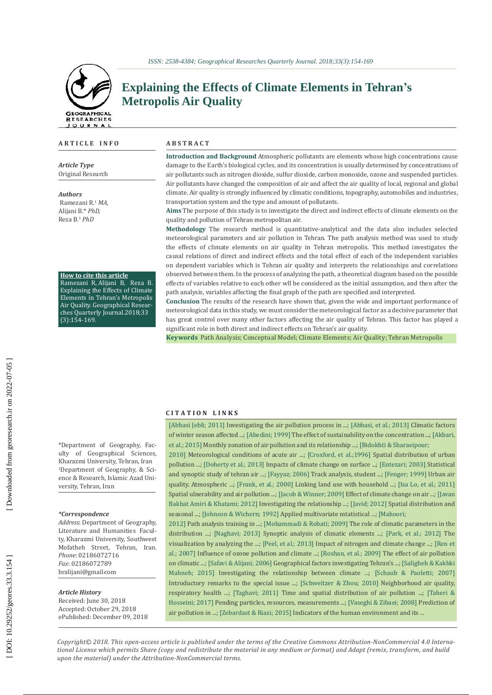### **A R T I C L E I N F O**

*Article Type* Original Resea rch

*Authors*

Ramezani R. <sup>1</sup> *MA,* Alijani B.\* *Ph D,* Reza B. <sup>1</sup> *PhD*

**H ow to ci te this article**

Ramezani R, Alijani B, Reza B. Explaining the Effects of Clima te Elements in Teh r a n's Met ropolis Air Quality. Geog raphical Resear ches Quar t e r ly Journal.2018;33 (3):154 -169.

## **Explaining the Effects of Climate Elements in Tehran ' s Met ropolis Air Quality**

#### **A B S T R A C T**

Introduction and Background Atmospheric pollutants are elements whose high concentrations cause damage to the Earth's biological cycles, and its concentration is usually determined by concentrations of air pollutants such as nitrogen dioxide, sulfur dioxide, carbon monoxide, ozone and suspended particles. Air pollutants hav e changed the composition of air and affect the air quality of local, regional and global climate. Air quality is strongly influenced by climatic conditions, topography, automobiles and industries, transportation system and the type and amount of pollutants.

Aims The purpose of this study is to investigate the direct and indirect effects of climate elements on the quality and pollution of Teh ran met ropolitan ai r.

Methodology The research method is quantitative-analytical and the data also includes selected meteorological parameters and air pollution in Tehran. The path analysis method was used to study the effects of climate elements on air quality in Tehran metropolis. This method investigates the causal relations of di rect and indi rect effects and the total effect of each of the independent variables on dependent variables which is Tehran air quality and interprets the relationships and correlations obser ved bet ween them. In the p rocess of ana lyzing the path, a theo retical diag ram based on the possible effects of variables relative to each other wll be considered as the initial assumption, and then after the path analysis, variables affecting the final graph of the path are specified and interpreted.

**Conclusion** The results of the research have shown that, given the wide and important performance of meteorological data in this study, we must consider the meteorological factor as a decisive parameter that has great control over many other factors affecting the air quality of Tehran. This factor has played a significant role in both di rect and indi rect effects on Teh r a n's air qualit y.

Keywords Path Analysis; Conceptual Model; Climate Elements; Air Quality; Tehran Metropolis

#### **C I T A T I O N L I N K S**

\*Department of Geog rap h y, Fac ulty of Geog raphical Sciences, Kha razmi University, Teh ran, I ran <sup>1</sup>Department of Geography, & Science & Resea rch, Islamic Azad Uni versity, Teh ran, I ran

#### *\* Cor responden c e*

Address: Department of Geography, Literature and Humanities Facult y, Kha razmi University, Southwest Mo fatheh St ree t, Teh ran, I ran. *Phone*: 02186072716 *Fax*: 0218607278[9](mailto:bralijani@gmail) [bralijani@gmail](mailto:bralijani@gmail)،com

### *Article History*

Received: June 30, 2018 Accepted: October 29, 2018 ePublished: December 09, 2018 [[Abbasi Jebli; 2011\]](https://ganj-old.irandoc.ac.ir/articles/549737) Investigating the air pollution process in ...; [[Abbasi, et al.; 2013\] Climatic](https://www.civilica.com/Paper-MEAENRS01-MEAENRS01_244.html) factors of winter season affected ...; [[Abedini; 1999\] The](https://ganj-old.irandoc.ac.ir/articles/1325) effect of sustainability on the concentration ...; [Akbari et al.; 2015] [Month](https://jne.ut.ac.ir/article_56927.html)ly zonation of air pollution and its relationship ...; [\[Bidokhti](https://jes.ut.ac.ir/article_21621.html) & Sharaeipour; [2010\] Me](https://jes.ut.ac.ir/article_21621.html)teorological conditions of acute air ...; [Croxfo[rd, et al.;1996\] Spatial](https://www.sciencedirect.com/science/article/pii/0048969796051844) distribution of urban

pollution ...[; \[Doherty et al.;](https://agupubs.onlinelibrary.wiley.com/doi/full/10.1002/jgrd.50266) 2013] Impacts of climate change on surface ...; [En[tezari; 2003\] Statistical](https://ganj-old.irandoc.ac.ir/articles/72131) and synoptic study of tehran air ...; [Fa[yyaz; 2006\]](http://neda.irstat.ir/browse.php?a_id=85&sid=1&slc_lang=fa) Track analysis, student ...; [[Fenger; 1999\]](https://www.sciencedirect.com/science/article/pii/S1352231099002903) Urban air quality. Atmospheric ...; [\[Frank, et al.; 2000\] Linking](https://www.sciencedirect.com/science/article/pii/S1361920999000322?via%3Dihub) land use with household ...; [\[Isa Lo, et al.; 2011\]](https://www.civilica.com/Paper-NCUD03-NCUD03_204.html) Spatial ulnerability and air pollution ...; [\[Jacob & Winner; 2009\] Eff](https://www.sciencedirect.com/science/article/pii/S1352231008008571?via%3Dihub)ect of climate change on air ...; [Javan [Bakhat Amiri & Khatami; 2012\]](http://he.srbiau.ac.ir/article_3405.html) Investigating the relationship ...; [J[avid; 2012\] Spatial](https://ganj-old.irandoc.ac.ir/articles/585596) distribution and seasonal ...; [\[Johnson & Wichern; 1992\] Applied](https://www.amazon.com/Applied-Multivariate-Statistical-Analysis-6th/dp/0131877151) multivariate mtatistical ...; [Mahoori;

2012] Path analysis training in ...; [\[Mohammadi](https://www.sid.ir/Fa/Journal/ViewPaper.aspx?id=151023) & Robati; 2009] The role of climatic parameters in the distribution ...; [Nagh[avi; 2013\]](https://ganj-old.irandoc.ac.ir/articles/595334) Synoptic analysis of climatic elements ...; [Pa[rk, et al.; 2012\]](http://www.iiirr.ucalgary.ca/files/iiirr/KTJ3-2_.pdf) The visualization by analyzing the ...; [[Peel, et al.; 2013\] Impact](https://link.springer.com/article/10.1007/s10533-012-9782-4) of nitrogen and climate change ...; [[Ren et](https://linkinghub.elsevier.com/retrieve/pii/S0269749107002588) [al.; 2007\] Influence](https://linkinghub.elsevier.com/retrieve/pii/S0269749107002588) of ozone pollution and climate ...; [[Roshan, et al.; 2009\] The](https://www.sid.ir/Fa/Journal/ViewPaper.aspx?id=103992) effect of air pollution on climatic ...; [Safavi & [Alijani;](https://journals.ut.ac.ir/article_18092.html) 2006] Geographical factors investigating Tehran's ...; [Saligheh & [Kakhki](https://www.sid.ir/fa/journal/ViewPaper.aspx?id=303347) [Mahneh; 2015\]](https://www.sid.ir/fa/journal/ViewPaper.aspx?id=303347) Investigating the relationship between climate ...; [Schaub & [Paoletti; 2007\]](https://www.sciencedirect.com/science/article/pii/S0269749106005410?via%3Dihub) Introductory remarks to the special issue ...; [\[Schweitzer & Zhou; 2010\] Nei](https://www.tandfonline.com/doi/full/10.1080/01944363.2010.486623)ghborhood air quality, respiratory health ...; [Tagh[avi; 2011\] Time](https://ganj-old.irandoc.ac.ir/articles/588077) and spatial distribution of air pollution ...; [[Taheri &](http://air.tehran.ir/portals/0/ReportFiles/AirPollution/51.pdf) [Hosseini;](http://air.tehran.ir/portals/0/ReportFiles/AirPollution/51.pdf) 2017] Pending particles, resources, measurements ...; [Vaseghi & [Zibaei;](https://www.sid.ir/fa/journal/ViewPaper.aspx?id=82133) 2008] Prediction of air pollution in ...; [Zeba[rdast & Riazi; 2015\] Indica](https://www.sid.ir/fa/journal/ViewPaper.aspx?ID=257205)tors of the human environment and its ...

Copyright© 2018. This open-access article is published under the terms of the Creative Commons [Attribution](http://creativecommons.org/licenses/by-nc/4.0/)-NonCommercial 4.0 Interna [tiona](http://creativecommons.org/licenses/by-nc/4.0/)l License which permits Share (copy and redistribute the material in any medium or format) and Adapt (remix, transform, and build *upon the material) under the Attribution-NonCommercial terms.*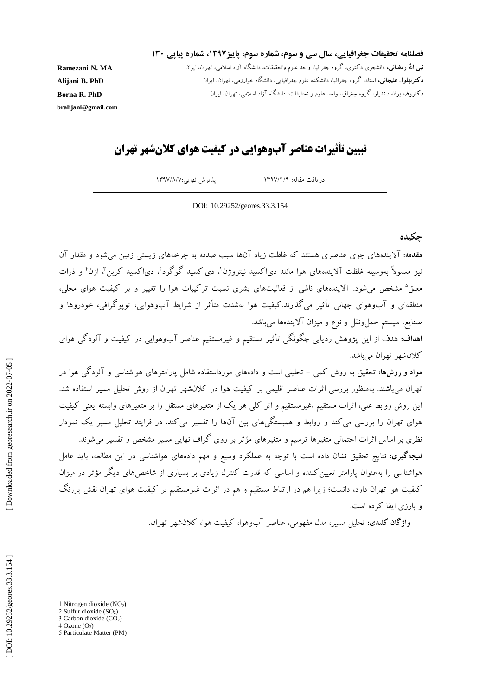فصلنامه تحقیقات جغرافیایی، سال سی و سوم، شماره سوم، پاییز**۱۳۹۷، شماره پیاپی ۱۳**۰

**MA . نبی اهلل رمضانی،** دانشجوی دکتری، گروه جغرافیا، واحد علوم وتحقیقات، دانشگاه آزاد اسالمی، تهران، ایران **N Ramezani دکتربهلول علیجانی،** استاد، گروه جغرافیا، دانشکده علوم جغرافیایی، دانشگاه خوارزمی، تهران، ایران **PhD .B Alijani** تحقیقات، دانشگاه آزاد اسالمی، تهران، ایران **PhD .R دکتررضا برنا،** دانشیار، گروه جغرافیا، واحد علوم و

**Borna [bralijani@gmail](mailto:bralijani@gmail.com)** .**com**

# **تبیین تأثیرات عناصر آبوهوایی در کیفیت هوای کالنشهر تهران**

DOI : 10.29252/geores.33. 3 .154

۱۳۹۷ پذیرش نهایی:۱۳۹۷/۸/۷

/ 4 / دریافت مقاله: 9

**چکیده** 

**مقدمه**: آالیندههای جوی عناصری هستند که غلظت زیاد آنها سبب صدمه به چرخههای زیستی زمین میشود و مقدار آن نیز معمولاً بهوسیله غلظت آلایندههای هوا مانند دی|کسید نیتروژن`، دی|کسید گوگرد'، دی|کسید کربن''، ازن' و ذرات معلق<sup>ه</sup> مشخص میشود. آلایندههای ناشی از فعالیتهای بشری نسبت ترکیبات هوا را تغییر و بر کیفیت هوای محلی، منطقهای و آبوهوای جهانی تأثیر میگذارند.کیفیت هوا بهشدت متأثر از شرایط آبوهوایی، توپوگرافی، خودروها و<br>صنایع، سیستم حملeونقل و نوع و میزان آلایندهها میباشد.

اه**داف:** هدف از این پژوهش ردیابی چکونکی تأثیر مستقیم و غیرمستقیم عناصر آبوهوایی در کیفیت و آلودگی هوای کالنشهر تهران میباشد.

موا**د و روشها**: تحقیق به روش کمی – تحلیلی است و دادههای مورداستفاده شامل پارامترهای هواشناسی و آلود کی هوا در تهران میباشند. بهمنظور بررسی اثرات عناصر اقلیمی بر کیفیت هوا در کالنشهر تهران از روش تحلیل مسیر استفاده شد. این روش روابط علی، اثرات مستقیم ،غیرمستقیم و اثر کلی هر یک از متغیرهای مستقل را بر متغیرهای وابسته یعنی کیفیت هوای تهران را بررسی می کند و روابط و همبستگیهای بین آنها را تفسیر می کند. در فرایند تحلیل مسیر یک نمودار نظری بر اساس اثرات احتمالی متغیرها ترسیم و متغیرهای مؤثر بر روی کراف نهایی مسیر مشخص و تفسیر میشوند.

**نتیجهگیری**: نتایج تحقیق نشان داده است با توجه به عملکرد وسیع و مهم دادههای هواشناسی در این مطالعه، باید عامل هواشناسی را بهعنوان پارامتر تعیین کننده و اساسی که قدرت کنترل زیادی بر بسیاری از شاخصهای دیگر مؤثر در میزان کیفیت هوا تهران دارد، دانست؛ زیرا هم در ارتباط مستقیم و هم در اثرات غیرمستقیم بر کیفیت هوای تهران نقش پررنگ بارزی ایفا کرده است.

**واژگان کلیدی:** تحلیل مسیر، مدل مفهومی، عناصر آبوهوا، کیفیت هوا، کالنشهر تهران. <sup>و</sup>

 $\overline{\phantom{a}}$ 1 Nitrogen dioxide (NO2)

<sup>2</sup> Sulfur dioxide  $(SO<sub>2</sub>)$ 

<sup>3</sup> Carbon dioxide  $(CO<sub>2</sub>)$  $4$  Ozone  $(O_3)$ 

<sup>5</sup> Particulate Matter (PM)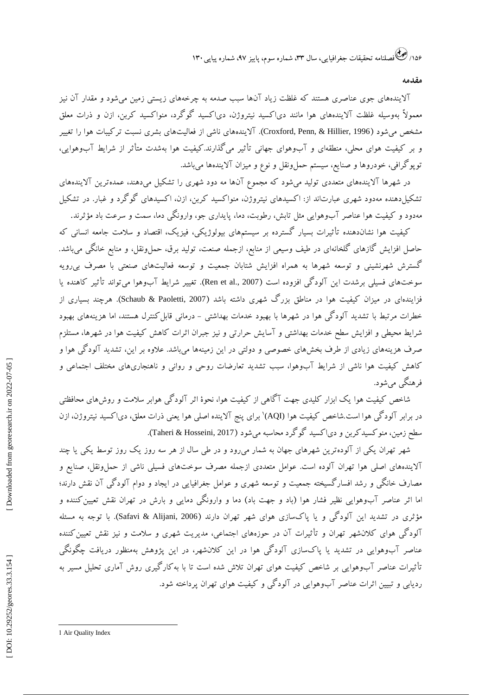۱۵۶/ کشی فصلنامه تحقیقات جغرافیایی، سال ۳۳، شماره سوم، پاییز ۹۷، شماره پیاپی ۱۳۰

**مقدمه**

آالیندههای جوی عناصری هستند که غلظت زیاد آنها سبب صدمه به چرخههای زیستی زمین میشود و مقدار آن نیز معمولاً بهوسیله غلظت الایندههای هوا مانند دی|کسید نیتروژن، دی|کسید کو کرد، منواکسید کربن، ازن و ذرات معلق مشخص میشود (Croxford, Penn, & Hillier, 1996). آلایندههای ناشی از فعالیتهای بشری نسبت ترکیبات هوا را تغییر بر کیفیت هوای محلی، منطقهای و آبوهوای جهانی تأثیر میگذارند.کیفیت هوا بهشدت متأثر از شرایط آبوهوایی، توپوگرافی، خودروها و صنایع، سیستم حملونقل و نوع و میزان آلایندهها میباشد.

در شهرها الایندههای متعددی تولید میشود که مجموع آنها مه دود شهری را تشکیل میدهند، عمدهترین الایندههای نشکیلدهنده مهدود شهری عبارتاند از: اکسیدهای نیتروژن، منوا کسید کربن، ازن، اکسیدهای کو کرد و غبار. در تشکیل مهدود و کیفیت هوا عناصر آبوهوایی مثل تابش، رطوبت، دما، پایداری جو، وارونگی دما، سمت و سرعت باد مؤثرند.

کیفیت هوا نشاندهنده تأثیرات بسیار گسترده بر سیستمهای بیولوژیکی، فیزیک، اقتصاد و سلامت جامعه انسانی که<br>حاصل افزایش گازهای گلخانهای در طیف وسیعی از منابع، ازجمله صنعت، تولید برق، حمل ونقل، و منابع خانگی می،باشد. کسترش شهرنشینی و توسعه شهرها به همراه افزایش شتابان جمعیت و توسعه فعالیتهای صنعتی با مصرف بیرویه سوختهای فسیلی برشدت این آلودگی افزوده است (Ren et al., 2007). تغییر شرایط آبوهوا میتواند تأثیر کاهنده یا فزایندهای در میزان کیفیت هوا در مناطق بزرگ شهری داشته باشد (Schaub & Paoletti, 2007). هرچند بسیاری از خطرات مرتبط با تشدید آلود کی هوا در شهرها با بهبود خدمات بهداشتی – درمانی قابل کنترل هستند، اما هزینههای بهبود شرایط محیطی و افزایش سطح خدمات بهداشتی و آسایش حرارتی و نیز جبران اثرات کاهش کیفیت هوا در شهرها، مستلزم صرف هزینههای زیادی از طرف بخشهای خصوصی و دولتی در این زمینهها میباشد. علاوه بر این، تشدید آلود کی هوا و کاهش کیفیت هوا ناشی از شرایط آبوهوا، سبب تشدید تعارضات روحی و روانی و ناهنجاریهای مختلف اجتماعی و فرهنگی میشود.

روشهای محافظتی شاخص کیفیت هوا یک ابزار کلیدی جهت ا کاهی از کیفیت هوا، نحوۀ اثر آلود کی هوابر سلامت و روشهای محافظتی<br>در برابر آلودگی هوا است.شاخص کیفیت هوا (AQI)' برای پنج آلاینده اصلی هوا یعنی ذرات معلق، دی|کسید نیتروژن، ازن در برابر آلود کی هوا است.شاخص کیفیت هوا (AQI)' برای پنج آلاینده اصلی هوا یعنی ذرات معلق، د<br>سطح زمین، منوکسیدکربن و دی|کسید گوگرد محاسبه میشود (Taheri & Hosseini, 2017).

شهر تهران یکی از آلودهترین شهرهای جهان به شمار میرود و در طی سال از هر سه روز یک روز توسط یکی یا چند الایندههای اصلی هوا تهران آلوده است. عوامل متعددی ازجمله مصرف سوختهای فسیلی ناشی از حملونقل، صنایع و مصارف خانگی و رشد افسار کسیخته جمعیت و توسعه شهری و عوامل جغرافیایی در ایجاد و دوام آلودگی آن نقش دارند؛ اما اثر عناصر آبوهوایی نظیر فشار هوا (باد و جهت باد) دما و وارونگی دمایی و بارش در تهران نقش تعیین کننده و مؤثری در تشدید این آلودگی و یا پاکسازی هوای شهر تهران دارند (Safavi & Alijani, 2006). با توجه به مسئله آلودگی هوای کلانشهر تهران و تأثیرات آن در حوزههای اجتماعی، مدیریت شهری و سلامت و نیز نقش تعیین کننده عناصر آبوهوایی در تشدید یا پاکسازی آلودگی هوا در این کلانشهر، در این پژوهش بهمنظور دریافت چگونگی ناثیرات عناصر آبوهوایی بر شاخص کیفیت هوای تهران تلاش شده است تا با به کار کیری روش آماری تحلیل مسیر به ردیابی و تبیین اثرات عناصر آبوهوایی در آلودگی و کیفیت هوای تهران پرداخته شود.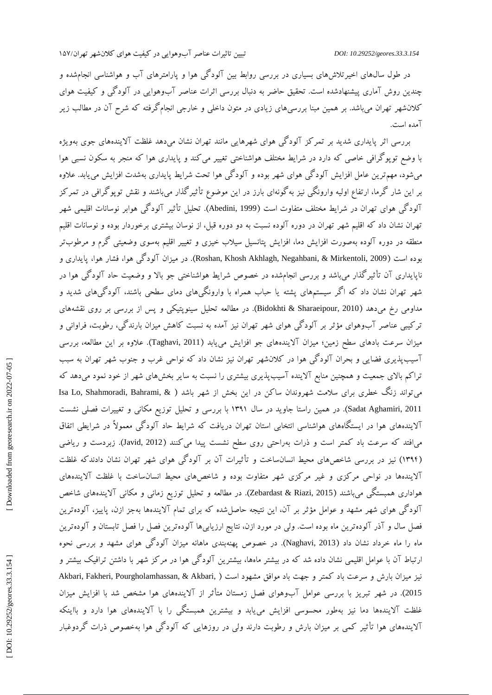در طول سال@ای اخیرتلاشهای بسیاری در بررسی روابط بین آلود کی هوا و پارامترهای آب و هواشناسی انجامشده و چندین روش آماری پیشنهادشده است. تحقیق حاضر به دنبال بررسی اثرات عناصر آبوهوایی در آلودگی و کیفیت هوای کالنشهر تهران میباشد. بر همین مبنا بررسیهای زیادی در متون داخلی و خارجی انجامگرفته که شرح آن در مطالب زیر آمده است.

بررسی [اثر پایداری شدید بر تمرکز آلودگی هوای شهرهایی مانند](http://ganj.irandoc.ac.ir/articles/1325) تهران نشان میدهد غلظت آالیندههای جوی بهویژه با وضع توپوگرافی خاصی که دارد در شرایط مختلف هواشناختی تغییر میکند و پایداری هوا که منجر به سکون نسبی هوا می شود، مهم ترین عامل افزایش آلود کی هوای شهر بوده و آلود کی هوا تحت شرایط پایداری بهشدت افزایش می یابد. علاوه بر این شار کرما، ارتفاع اولیه وارونکی نیز به کونهای بارز در این موضوع تاثیر کدار میباشند و نقش توپو کرافی در تمر کز آلودگی هوای تهران در شرایط مختلف متفاوت است (Abedini, 1999). تحلیل تأثیر آلودگی هوابر نوسانات اقلیمی شهر تهران نشان داد که اقلیم شهر تهران در دوره آلوده نسبت به دو دوره قبل، از نوسان بیشتری برخوردار بوده و نوسانات اقلیم منطقه در دوره آلوده بهصورت افزایش دما، افزایش پتانسیل سیلاب خیزی و تغییر اقلیم بهسوی وضعیتی کرم و مرطوبتر بوده است (Roshan, Khosh Akhlagh, Negahbani, & Mirkentoli, 2009). در میزان آلودگی هوا، فشار هوا، پایداری و ناپایداری آن تأثیرگذار میباشد و بررسی انجامشده در خصوص شرایط هواشناختی جو باال و وضعیت حاد آلودگی هوا در شهر تهران نشان داد که اگر سیستمهای پشته یا حباب همراه با وارونگیهای دمای سطحی باشند، آلودگیهای شدید و مداومی رخ میدهد (Bidokhti & Sharaeipour, 2010). در مطالعه تحلیل سینوپتیکی و پس از بررسی بر روی نقشههای [ترکیبی عناصر آبوهوای مؤثر](http://ganj.irandoc.ac.ir/articles/595334) بر آلودگی هوای شهر تهران نیز آمده به نسبت کاهش میزان بارندگی، رطوبت، فراوانی و میزان سرعت بادهای سطح زمین؛ میزان آلایندههای جو افزایش مییابد (Taghavi, 2011). علاوه بر این مطالعه، بررسی [سیبپذیری فضایی و بحران آلودگی هوا در کالنشهر تهران](http://ganj.irandoc.ac.ir/articles/752248) نیز نشان داد که نواحی غرب و جنوب شهر تهران به سبب آ نرا کم بالای جمعیت و همچنین منابع الاینده اسیبپدیری بیشتری را نسبت به سایر بخشهای شهر از خود نمود میدهد که Isa Lo, Shahmoradi, Bahrami, & میتواند زنگ خطری برای سالمت شهروندان ساکن در این بخش از شهر باشد ) Sadat Aghamiri, 2011). در همین راستا جاوید در سال ۱۳۹۱ با بررسی و تحلیل توزیع مکانی و تغییرات فصلی نشست آالیندههای هوا در ایستگاههای هواشناسی انتخابی استان تهران دریافت که شرایط حاد آلودگی معموالً در شرایطی اتفاق می|فتد که سرعت باد کمتر است و ذرات بهراحتی روی سطح نشست پیدا میکنند (Javid, 2012). زبردست و ریاضی (۱۳۹۴) نیز در بررسی شاخصهای محیط انسانساخت و تأثیرات آن بر آلودگی هوای شهر تهران نشان دادند که غلظت الایندهها در نواحی مرکزی و غیر مرکزی شهر متفاوت بوده و شاخصهای محیط انسانساخت با غلظت الایندههای هواداری همبستگی میباشند (Zebardast & Riazi, 2015). در مطالعه و تحلیل توزیع زمانی و مکانی آلایندههای شاخص آلود کی هوای شهر مشهد و عوامل مؤثر بر آن، این نتیجه حاصل شده که برای تمام الایندهها بهجز ازن، پاییز، آلودهترین فصل سال و آذر آلودهترین ماه بوده است. ولی در مورد ازن، نتایج ارزیابیها آلودهترین فصل را فصل تابستان و آلودهترین ماه را ماه خرداد نشان داد (Naghavi, 2013). در خصوص پهنهبندی ماهانه میزان آلودگی هوای مشهد و بررسی نحوه ارتباط آن با عوامل اقلیمی نشان داده شد که در بیشتر ماهها، بیشترین آلودگی هوا در مرکز شهر با داشتن ترافیک بیشتر و Akbari, Fakheri, Pourgholamhassan, & Akbari, نیز میزان بارش و سرعت باد کمتر و جهت باد موافق مشهود است ) 2015). در شهر تبریز با بررسی عوامل آبوهوای فصل زمستان متأثر از آلایندههای هوا مشخص شد با افزایش میزان غلظت الایندهها دما نیز بهطور محسوسی افزایش میbبابد و بیشترین همبستگی را با الایندههای هوا دارد و بااینکه الایندههای هوا تأثیر کمی بر میزان بارش و رطوبت دارند ولی در روزهایی که آلودگی هوا بهخصوص ذرات کردوغبار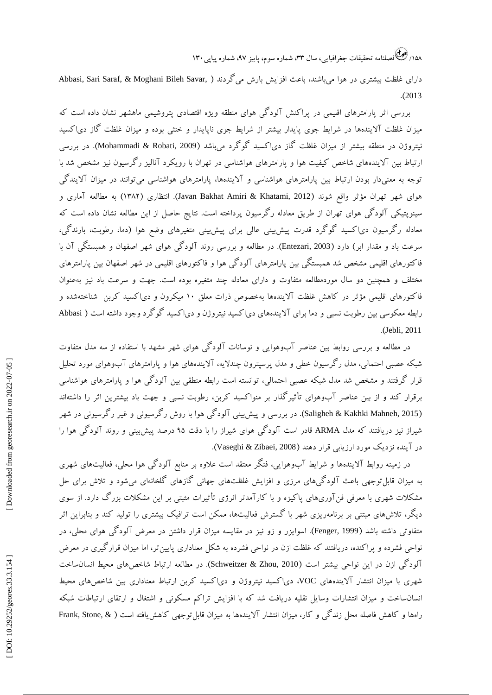۱۵۸/ کشی فصلنامه تحقیقات جغرافیایی، سال ۳۳، شماره سوم، پاییز ۹۷، شماره پیاپی ۱۳۰

دارای غلظت بیشتری در هوا میباشند، باعث افزایش بارش میگردند ( ,Abbasi, Sari Saraf, & Moghani Bileh Savar<br>2013).

بررسی اثر پارامترهای اقلیمی در پراکنش آلودگی هوای منطقه ویژه اقتصادی پتروشیمی ماهشهر نشان داده است که میزان غلظت آلایندهها در شرایط جوی پایدار بیشتر از شرایط جوی ناپایدار و خنثی بوده و میزان غلظت گاز دی|کسید نیتروژن در منطقه بیشتر از میزان غلظت گاز دی|کسید گوگرد میباشد (Mohammadi & Robati, 2009). در بررسی ارتباط بین آالیندههای شاخص کیفیت هوا و پارامترهای هواشناسی در تهران با رویکرد آنالیز رگرسیون نیز مشخص شد با نوجه به معنیدار بودن ارتباط بین پارامترهای هواشناسی و آلایندهها، پارامترهای هواشناسی میتوانند در میزان آلایندگی هوای شهر تهران مؤثر واقع شوند (Javan Bakhat Amiri & Khatami, 2012). انتظاری (۱۳۸۲) به مطالعه آماری و سینوپتیکی آلود کی هوای تهران از طریق معادله ر کرسیون پرداخته است. نتایج حاصل از این مطالعه نشان داده است که معادله ر کرسیون دی|کسید کو کرد قدرت پیشبینی عالی برای پیشبینی متغیرهای وضع هوا (دما، رطوبت، بارندکی، سرعت باد و مقدار ابر) دارد (Entezari, 2003). در مطالعه و بررسی روند آلودگی هوای شهر اصفهان و همبستگی آن با [فاکتورهای اقلیمی](https://ganj-old.irandoc.ac.ir/articles/549737) مشخص شد همبستگی بین پارامترهای آلودگی هوا و فاکتورهای اقلیمی در شهر اصفهان بین پارامترهای مختلف و همچنین دو سال موردمطالعه متفاوت و دارای معادله چند متغیره بوده است. جهت و سرعت باد نیز بهعنوان فا کتورهای اقلیمی مؤثر در کاهش غلظت الایندهها بهخصوص ذرات معلق ۱۰ میکرون و دی| کسید کربن ًشناختهشده و بین رطوبت نسبی و دما برای آلایندههای دی|کسید نیتروژن و دی|کسید گوگرد وجود داشته است ( Abbasi 2011 ,Jebli). رابطه معکوسی

در مطالعه و بررسی روابط بین عناصر آبوهوایی و نوسانات آلودگی هوای شهر مشهد با استفاده از سه مدل متفاوت شبکه عصبی احتمالی، مدل ر کرسیون خطی و مدل پرسپترون چندلایه، الایندههای هوا و پارامترهای آبوهوای مورد تحلیل قرار گرفتند و مشخص شد مدل شبکه عصبی احتمالی، توانسته است رابطه منطقی بین آلودگی هوا و پارامترهای هواشناسی برقرار کند و از بین عناصر آبوهوای تأثیرگذار بر منواکسید کربن، رطوبت نسبی و جهت باد بیشترین اثر را داشتهاند (Saligheh & Kakhki Mahneh, 2015). در بررسی و پیشبینی آلودگی هوا با روش رگرسیونی و غیر رگرسیونی در شهر شیراز نیز دریافتند که مدل ARMA قادر است آلودگی هوای شیراز را با دقت 95 درصد پیشبینی و روند آلودگی هوا را . )Vaseghi & Zibaei, 2008 ( در آینده نزدیک مورد ارزیابی قرار دهند

در زمینه روابط الایندهها و شرایط آبوهوایی، فنکر معتقد است علاوه بر منابع آلودگی هوا محلی، فعالیتهای شهری به میزان قابل توجهی باعث آلود کی،ای مرزی و افزایش غلظتهای جهانی کازهای کلخانهای میشود و تلاش برای حل مشکلات شهری با معرفی فن[وریهای پاکیزه و با کارآمدتر انرژی تاثیرات مثبتی بر این مشکلات بزر ک دارد. از سوی دیکر، تلاشهای مبتنی بر برنامهریزی شهر با کسترش فعالیتها، ممکن است ترافیک بیشتری را تولید کند و بنابراین اثر متفاوتی داشته باشد (Fenger, 1999). اسوایزر و زو نیز در مقایسه میزان قرار داشتن در معرض آلودگی هوای محلی، در نواحی فشرده و پرا کنده، دریافتند که غلظت ازن در نواحی فشرده به شکل معناداری پایینتر، اما میزان قرار کیری در معرض آلودگی ازن در این نواحی بیشتر است (Schweitzer & Zhou, 2010). در مطالعه ارتباط شاخصهای محیط انسانساخت شهری با میزان انتشار آلایندههای VOC، دی|کسید نیتروژن و دی|کسید کربن ارتباط معناداری بین شاخصهای محیط نسانساخت و میزان انتشارات وسایل نقلیه دریافت شد که با افزایش تراکم مسکونی و اشتغال و ارتقای ارتباطات شبکه راهها و کاهش فاصله محل زندگی و کار، میزان انتشار آلایندهها به میزان قابل¤توجهی کاهش!فته است ( &Frank, Stone,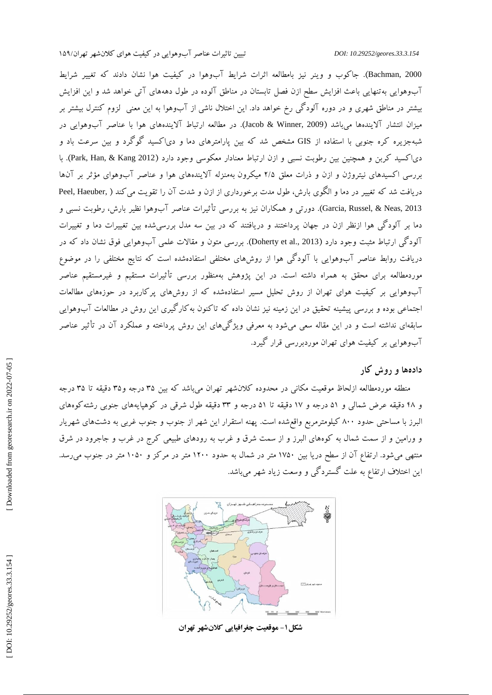Bachman, 2000). جاکوب و وینر نیز بامطالعه اثرات شرایط آبوهوا در کیفیت هوا نشان دادند که تغییر شرایط ابوهوایی بهتنهایی باعث افزایش سطح ازن فصل تابستان در مناطق آلوده در طول دهههای آتی خواهد شد و این افزایش بیشتر در مناطق شهری و در دوره آلود کی رخ خواهد داد. این اختلال ناشی از آبوهوا به این معنی گزوم کنترل بیشتر بر میزان انتشار آلایندهها می<sub>ا</sub>شد (Jacob & Winner, 2009). در مطالعه ارتباط آلایندههای هوا با عناصر آبوهوایی در شبهجزیره کره جنوبی با استفاده از GIS مشخص شد که بین پارامترهای دما و دی|کسید گوگرد و بین سرعت باد و دی|کسید کربن و همچنین بین رطوبت نسبی و ازن ارتباط معنادار معکوسی وجود دارد (Park, Han, & Kang 2012). با بررسی اکسیدهای نیتروژن و ازن و ذرات معلق ۲/۵ میکرون بهمنزله الایندههای هوا و عناصر آبوهوای مؤثر بر آنها دریافت شد که تغییر در دما و الگوی بارش، طول مدت برخورداری از ازن و شدت آن را تقویت می کند ( .Peel, Haeuber 2013 ,Neas & ,Russel ,Garcia). دورتی و همکاران نیز به بررسی تأثیرات عناصر آبوهوا نظیر بارش، رطوبت نسبی و دما بر آلودگی هوا ازنظر ازن در جهان پرداختند و دریافتند که در بین سه مدل بررسیشده بین تغییرات دما و تغییرات آلودگی ارتباط مثبت وجود دارد (Doherty et al., 2013). بررسی متون و مقالات علمی آب<code>ou</code>هوایی فوق نشان داد که در دریافت روابط عناصر آبوهوایی با آلودگی هوا از روشهای مختلفی استفادهشده است که نتایج مختلفی را در موضوع موردمطالعه برای محقق به همراه داشته است. در این پژوهش بهمنظور بررسی تأثیرات مستقیم و غیرمستقیم عناصر آبوهوایی بر کیفیت هوای تهران از روش تحلیل مسیر استفادهشده که از روشهای پرکاربرد در حوزههای مطالعات جتماعی بوده و بررسی پیشینه تحقیق در این زمینه نیز نشان داده که تاکنون به کار کیری این روش در مطالعات آبوهوایی سابقهای نداشته است و در این مقاله سعی میشود به معرفی ویژگیهای این روش پرداخته و عملکرد آن در تأثیر عناصر ابوهوایی بر کیفیت هوای تهران موردبررسی قرار کیرد.

**دادهها و روش کار**

منطقه موردمطالعه ازلحاظ موقعیت مکانی در محدوده کلانشهر تهران میباشد که بین ۳۵ درجه و۳۵ دقیقه تا ۳۵ درجه و ۴۸ دقیقه عرض شمالی و ۵۱ درجه و ۱۷ دقیقه تا ۵۱ درجه و ۳۳ دقیقه طول شرقی در کوهپایههای جنوبی رشته کوههای البرز با مساحتی حدود ۸۰۰ کیلومترمربع واقع شده است. پهنه استقرار این شهر از جنوب و جنوب غربی به دشتهای شهریار و ورامین و از سمت شمال به کوههای البرز و از سمت شرق و غرب به رودهای طبیعی کرج در غرب و جاجرود در شرق منتهی میشود. ارتفاع آن از سطح دریا بین 1750 متر در شمال به حدود 1200 متر در مرکز و 1050 متر در جنوب میرسد. این اختالف ارتفاع به علت گستردگی و وسعت زیاد شهر میباشد.



**موقعیت جغرافیایی کالنشهر تهران - شکل1**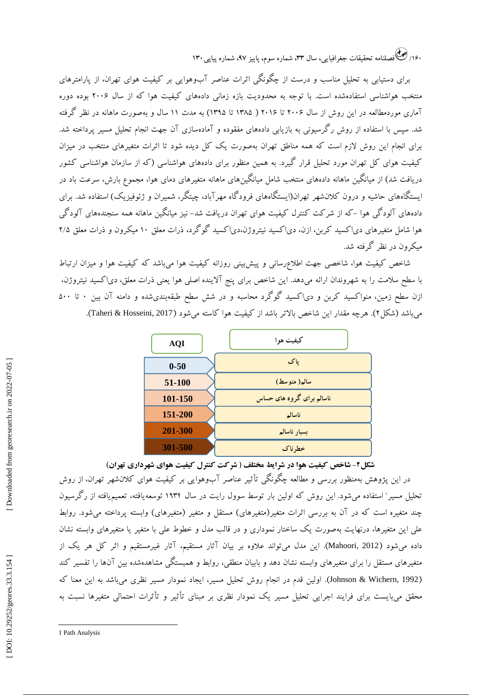۱۶۰/ کِ فَصَلْنَامَهُ تَحقيقات جُغَرافيايي، سال ۳۳، شماره سوم، پاييز ۹۷، شماره پياپي ۱۳۰

برای دستیابی به تحلیل مناسب و درست از چگونگی اثرات عناصر آبوهوایی بر کیفیت هوای تهران، از پارامترهای منتخب هواشناسی استفادهشده است. با توجه به محدودیت بازه زمانی دادههای کیفیت هوا که از سال 2006 بوده دوره آماری موردمطالعه در این روش از سال 2006 تا 2016 ) 1385 تا 1395( به مدت 11 سال و بهصورت ماهانه در نظر گرفته شد. سپس با استفاده از روش رگرسیونی به بازیابی دادههای مفقوده و آمادهسازی آن جهت انجام تحلیل مسیر پرداخته شد. برای انجام این روش الزم است که همه مناطق تهران بهصورت یک کل دیده شود تا اثرات متغیرهای منتخب در میزان کیفیت هوای کل تهران مورد تحلیل قرار گیرد. به همین منظور برای دادههای هواشناسی (که از سازمان هواشناسی کشور دریافت شد) از میانگین ماهانه دادههای منتخب شامل میانگینهای ماهانه متغیرهای دمای هوا، مجموع بارش، سرعت باد در 'یستگاههای حاشیه و درون کلانشهر تهران(ایستگاههای فرودگاه مهرآباد، چیتگر، شمیران و ژئوفیزیک) استفاده شد. برای دادههای آلود کی هوا -که از شر کت کنترل کیفیت هوای تهران دریافت شد- نیز میانکین ماهانه همه سنجندههای آلود کی هوا شامل متغیرهای دی|کسید کربن، ازن، دی|کسید نیتروژن،دی|کسید کو کرد، ذرات معلق ۱۰ میکرون و ذرات معلق ۲/۵ میکرون در نظر گرفته شد.

شاخص کیفیت هوا، شاخصی جهت اطالعرسانی و پیشبینی روزانه کیفیت هوا میباشد که کیفیت هوا و میزان ارتباط با سطح سلامت را به شهروندان ارائه میدهد. این شاخص برای پنج آلاینده اصلی هوا یعنی ذرات معلق، دی| کسید نیتروژن، دی|کسید کو کرد محاسبه و در شش سطح طبقهبندیشده و دامنه آن بین ۰ تا ۵۰۰ میباشد (شکل7). هرچه مقدار این شاخص بالاتر باشد از کیفیت هوا کاسته میشود (2017 ,Taheri & Hosseini).

| <b>AQI</b> | کیفیت هوا                 |
|------------|---------------------------|
| $0 - 50$   | یاک                       |
| 51-100     | سالم( متوسط)              |
| 101-150    | ناسالم برای گروه های حساس |
| 151-200    | ناسالم                    |
| 201-300    | بسيار ناسالم              |
| 301-500    | خطر ناک                   |

**شکل ۲- شاخص کیفیت هوا در شرایط مختلف ( شرکت کنترل کیفیت هوای شهرداری تهران)** 

در این پژوهش بهمنظور بررسی و مطالعه چگونگی تأثیر عناصر آبوهوایی بر کیفیت هوای کالنشهر تهران، از روش تحلیل مسیر 1 استفاده میشود. این روش که اولین بار توسط سوول رایت در سال 1934 توسعهیافته، تعمیمیافته از رگرسیون چند متغیره است که در آن به بررسی اثرات متغیر(متغیرهای) مستقل و متغیر (متغیرهای) وابسته پرداخته میشود. روابط علی این متغیرها، درنهایت بهصورت یک ساختار نموداری و در قالب مدل و خطوط علی با متغیر یا متغیرهای وابسته نشان داده میشود (Mahoori, 2012). این مدل می $\,$ تواند علاوه بر بیان آثار مستقیم، آثار غیرمستقیم و اثر کل هر یک از متغیرهای مستقل را برای متغیرهای وابسته نشان دهد و بابیان منطقی، روابط و همبستگی مشاهدهشده بین آنها را تفسیر کند (Johnson & Wichern, 1992). اولین قدم در انجام روش تحلیل مسیر، ایجاد نمودار مسیر نظری میباشد به این معنا که محقق میبایست برای فرایند اجرایی تحلیل مسیر یک نمودار نظری بر مبنای تأثیر و تأثرات احتمالی متغیرها نسبت به 0-50<br>11-1<mark>: 11-11</mark><br>151-21<br>151-21 العام 11-12<br>يت هواى شهردارى تهران)<br>يت هواى شهردارى تهران) از روش<br>بر كيفيت هواى كلان شهر تهران، از روش<br>11۳۴ توسعه يافته، تعميم يافته از رگرسيون<br>4- آثار غيرمستقيم و اثر كل هر يک از<br>بستگى مشا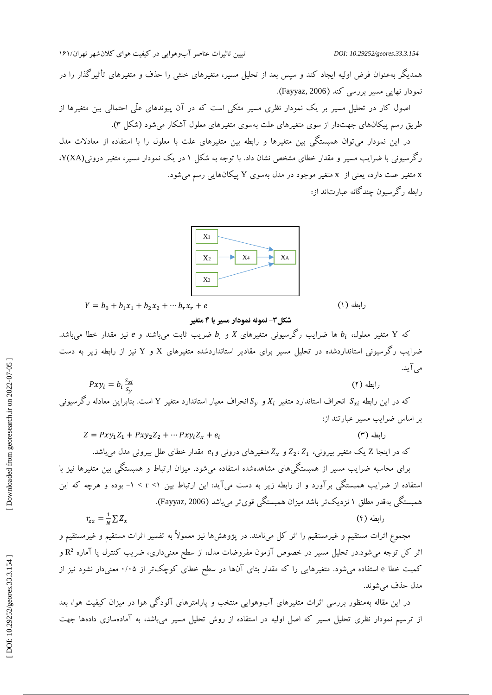تاثیرات عناصر آبوهوایی در کیفیت هوای کلان شهر تهران/۱۶۱

همدیگر بهعنوان فرض اولیه ایجاد کند و سپس بعد از تحلیل مسیر، متغیرهای خنثی را حذف و متغیرهای تأثیرگذار را در<br>نمودار نهایی مسیر بررسی کند (Fayyaz, 2006).

اصول کار در تحلیل مسیر بر یک نمودار نظری مسیر متکی است که در آن پیوندهای علّی احتمالی بین متغیرها از طریق رسم پیکانهای جهتدار از سوی متغیرهای علت بهسوی متغیرهای معلول آشکار میشود (شکل ۳).

در این نمودار میتوان همبستگی بین متغیرها و رابطه بین متغیرهای علت با معلول را با استفاده از معادالت مدل رگرسیونی با ضرایب مسیر و مقدار خطای مشخص نشان داد. با توجه به شکل ۱ در یک نمودار مسیر، متغیر درونی(Y(XA، متغیر علت دارد، یعنی از x متغیر موجود در مدل بهسوی Y پیکانهایی رسم میشود. رابطه رگرسیون چندگانه عبارتاند از:



$$
Y = b_0 + b_1 x_1 + b_2 x_2 + \cdots + b_r x_r + e
$$

رابطه (۱)

 $(7)$  ابطه

**متغیر نمونه نمودار مسیر با 4 - شکل3**

که Y متغیر معلول،  $b_i$  ها ضرایب رگرسیونی متغیرهای X و b ضریب ثابت میباشند و e نیز مقدار خطا میباشد. ضرایب رگرسیونی استانداردشده در تحلیل مسیر برای مقادیر استانداردشده متغیرهای X و Y نیز از رابطه زیر به دست میآید.

$$
Pxy_i = b_i \frac{s_{xi}}{s_y} \tag{}
$$

که در این رابطه  $S_{xi}$  انحراف استاندارد متغیر  $X_i$  و  $\mathcal{S}_\mathbf{y}$  انحراف معیار استاندارد متغیر Y است. بنابراین معادله رگرسیونی بر اساس ضرایب مسیر عبارتند از:

$$
Z = Pxy_1Z_1 + Pxy_2Z_2 + \cdots Pxy_iZ_x + e_i
$$
 (7)

که در اینجا Z یک متغیر بیرونی، Z2، Z1 و Zz متغیرهای درونی و $e_{\rm i}$  مقدار خطای علل بیرونی مدل میباشد. برای محاسبه ضرایب مسیر از همبستگیهای مشاهدهشده استفاده میشود. میزان ارتباط و همبستگی بین متغیرها نیز با بوده و هرچه که این - 1 < r < همبستگی بهقدر مطلق 1 نزدیکتر باشد میزان همبستگی قویتر میباشد )2006 ,Fayyaz). استفاده از ضرایب همبستگی برآورد و از رابطه زیر به دست میآید: این ارتباط بین <sup>1</sup>

$$
r_{zz} = \frac{1}{N} \sum Z_x \tag{f}
$$

مجموع اثرات مستقیم و غیرمستقیم را اثر کل مینامند. در پژوهشها نیز معموالً به تفسیر اثرات مستقیم و غیرمستقیم و اثر کل توجه میشود.در تحلیل مسیر در خصوص آزمون مفروضات مدل، از سطح معنیداری، ضریب کنترل یا آماره 2 و R کمیت خطا e استفاده میشود. متغیرهایی را که مقدار بتای آنها در سطح خطای کوچکتر از ۰/۰۵ معنیدار نشود نیز از<br>مدل حذف میشوند.

در این مقاله بهمنظور بررسی اثرات متغیرهای آبوهوایی منتخب و پارامترهای آلودگی هوا در میزان کیفیت هوا، بعد از ترسیم نمودار نظری تحلیل مسیر که اصل اولیه در استفاده از روش تحلیل مسیر میباشد، به آمادهسازی دادهها جهت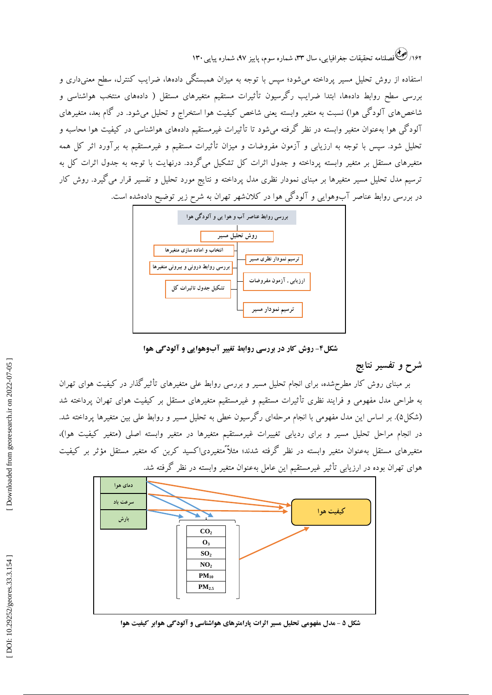۱۶۲/ کِ فَصَلْنَامَهُ تَحقيقات جغرافيايي، سال ۳۳، شماره سوم، پاييز ۹۷، شماره پياپي ۱۳۰

استفاده از روش تحلیل مسیر پرداخته میشود؛ سپس با توجه به میزان همبستگی دادهها، ضرایب کنترل، سطح معنیداری و بررسی سطح روابط دادهها، ابتدا ضرایب رکرسیون تأثیرات مستقیم متغیرهای مستقل ( دادههای منتخب هواشناسی و شاخصهای آلودگی هوا) نسبت به متغیر وابسته یعنی شاخص کیفیت هوا استخراج و تحلیل می شود. در گام بعد، متغیرهای آلودگی هوا بهعنوان متغیر وابسته در نظر گرفته میشود تا تأثیرات غیرمستقیم دادههای هواشناسی در کیفیت هوا محاسبه و تحلیل شود. سپس با توجه به ارزیابی و آزمون مفروضات و میزان تأثیرات مستقیم و غیرمستقیم به برآورد اثر کل همه متغیرهای مستقل بر متغیر وابسته پرداخته و جدول اثرات کل تشکیل میگردد. درنهایت با توجه به جدول اثرات کل به ترسیم مدل تحلیل مسیر متغیرها بر مبنای نمودار نظری مدل پرداخته و نتایج مورد تحلیل و تفسیر قرار میگیرد. روش کار در بررسی روابط عناصر آبوهوایی و آلودگی هوا در کالنشهر تهران به شرح زیر توضیح دادهشده است.



**روش کار در بررسی روابط تغییر آبوهوایی و آلودگی هوا - شکل4**

### **شرح و تفسیر نتایج**

بر مبنای روش کار مطرحشده، برای انجام تحلیل مسیر و بررسی روابط علی متغیرهای تأثیرگذار در کیفیت هوای تهران به طراحی مدل مفهومی و فرایند نظری تأثیرات مستقیم و غیرمستقیم متغیرهای مستقل بر کیفیت هوای تهران پرداخته شد (شکل۵). بر اساس این مدل مفهومی با انجام مرحلهای ر کرسیون خطی به تحلیل مسیر و روابط علی بین متغیرها پرداخته شد. در انجام مراحل تحلیل مسیر و برای ردیابی تغییرات غیرمستقیم متغیرها در متغیر وابسته اصلی (متغیر کیفیت هوا)، متغیرهای مستقل بهعنوان متغیر وابسته در نظر گرفته شدند؛ مثالً ًمتغیردیاکسید کربن که متغیر مستقل مؤثر بر کیفیت هوای تهران بوده در ارزیابی تأثیر غیرمستقیم این عامل بهعنوان متغیر وابسته در نظر گرفته شد.



**مدل مفهومی تحلیل مسیر اثرات پارامترهای هواشناسی و آلودگی هوابر کیفیت هوا - شکل 5**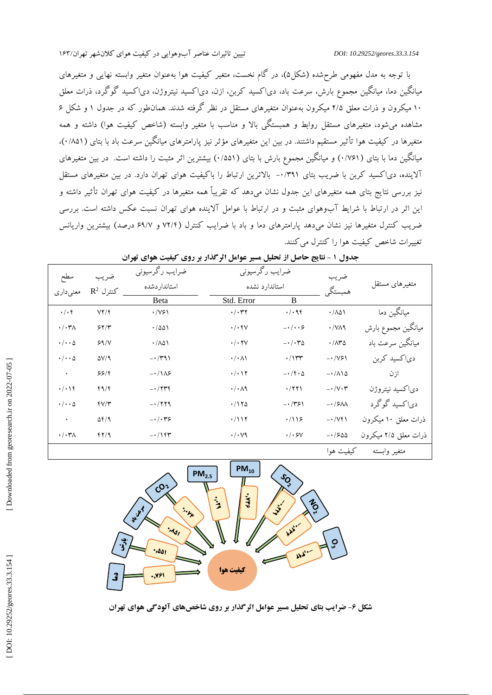با توجه به مدل مفهومی طرحشده (شکل۵)، در کام نخست، متغیر کیفیت هوا بهعنوان متغیر وابسته نهایی و متغیرهای میانکین دما، میانکین مجموع بارش، سرعت باد، دی|کسید کربن، ازن، دی|کسید نیتروژن، دی|کسید کو کرد، ذرات معلق ۱۰ میکرون و ذرات معلق ۲/۵ میکرون بهعنوان متغیرهای مستقل در نظر کرفته شدند. همانطور که در جدول ۱ و شکل ۶ مشاهده میشود، متغیرهای مستقل روابط و همبستگی بالا و مناسب با متغیر وابسته (شاخص کیفیت هوا) داشته و همه ، ) 0 /851 متغیرها در کیفیت هوا تأثیر مستقیم داشتند. در بین این متغیرهای مؤثر نیز پارامترهای میانگین سرعت باد با بتای ) میانگین دما با بتای (۷۶۱/۰) و میانگین مجموع بارش با بتای (۱۵۵۱) بیشترین اثر مثبت را داشته است. در بین متغیرهای الاینده، دیا کسید کربن با ضریب بتای ۰/۳۹۱- بالاترین ارتباط را با کیفیت هوای تهران دارد. در بین متغیرهای مستقل نیز بررسی نتایج بتای همه متغیرهای این جدول نشان میدهد که تقریباً همه متغیرها در کیفیت هوای تهران تأثیر داشته و این اثر در ارتباط با شرایط آبوهوای مثبت و در ارتباط با عوامل آالینده هوای تهران نسبت عکس داشته است. بررسی ضریب کنترل متغیرها نیز نشان میدهد پارامترهای دما و باد با ضرایب کنترل (۷۲/۴ و ۶۹/۷ درصد) بیشترین واریانس<br>نغییرات شاخص کیفیت هوا را کنترل میکنند.

| سطح                       | ضريب                      | ضرايب رگرسيوني                       | ضرايب رگرسيوني              |                                                  | ضريب                        | متغيرهاى مستقل       |  |
|---------------------------|---------------------------|--------------------------------------|-----------------------------|--------------------------------------------------|-----------------------------|----------------------|--|
| معنىدارى                  | $R^2$ كنترل $\mathcal{L}$ | استانداردشده                         |                             | استاندارد نشده                                   |                             |                      |  |
|                           |                           | Beta                                 | Std. Error                  | B                                                | همبستگي                     |                      |  |
| $\cdot/\cdot f$           | VY/F                      | $\cdot$ /VSI                         | $\cdot/\cdot$ ۳۲            | . / . 96                                         | $\cdot$ / $\wedge$ $\wedge$ | میانگین دما          |  |
| $\cdot/\cdot\tau$         | 55/7                      | .7001                                | $\cdot/\cdot$ fV            | $-\cdot/\cdot\cdot$ ۶                            | $\cdot$ /VA9                | ميانگين مجموع بارش   |  |
| $\cdot/\cdot\cdot \Delta$ | S <sub>1</sub> /V         | .7001                                | $\cdot/\cdot$ YV            | $-\cdot/\cdot\tau$                               | $\cdot/\Lambda$ ۳۵          | میانگین سرعت باد     |  |
| $\cdot/\cdot\cdot \Delta$ | $\Delta V/A$              | $-1/\tau$ ۹۱                         | $\cdot/\cdot \wedge \wedge$ | $\cdot/\gamma$ ۳۳                                | $-1/\sqrt{5}$               | دياكسيد كربن         |  |
| $\langle \cdot \rangle$   | 55/5                      | $-118$                               | $\cdot/\cdot$ \ ۲           | $-1$ $\uparrow$ $\uparrow$ $\uparrow$ $\uparrow$ | $-\cdot/\Lambda$ 10         | ازن                  |  |
| $\cdot/\cdot$ \ f         | f9/f                      | $-1775$                              | $\cdot/\cdot \wedge$ ٩      | $\cdot$ /۲۲۱                                     | $-\cdot/\vee\cdot\tau$      | دياكسيد نيتروژن      |  |
| $\cdot/\cdot\cdot \Delta$ | $fV/\tau$                 | $-1779$                              | $\cdot$ /175                | $- \cdot 751$                                    | $-15M$                      | دی کسید گوگرد        |  |
| $\bullet$                 | $\Delta f / 9$            | $ \cdot$ $/$ $\cdot$ $\cdot$ $\cdot$ | $\cdot/117$                 | .719                                             | $-1/\sqrt{5}$               | ذرات معلق ١٠ ميكرون  |  |
| $\cdot/\cdot\tau$         | fY/9                      | $-115$                               | $\cdot/\cdot\vee\gamma$     | $\cdot/\cdot$ SV                                 | $-1500$                     | ذرات معلق ۲/۵ میکرون |  |
|                           |                           |                                      |                             |                                                  | کیفیت هوا                   | متغير وابسته         |  |

| ۔ جدول ۱ - نتایج حاصل از تحلیل مسیر عوامل اثر گذار بر روی کیفیت هوای تهران |  |
|----------------------------------------------------------------------------|--|
|----------------------------------------------------------------------------|--|



**ضرایب بتای تحلیل مسیر عوامل اثرگذار بر روی شاخصهای آلودگی هوای تهران - شکل 6**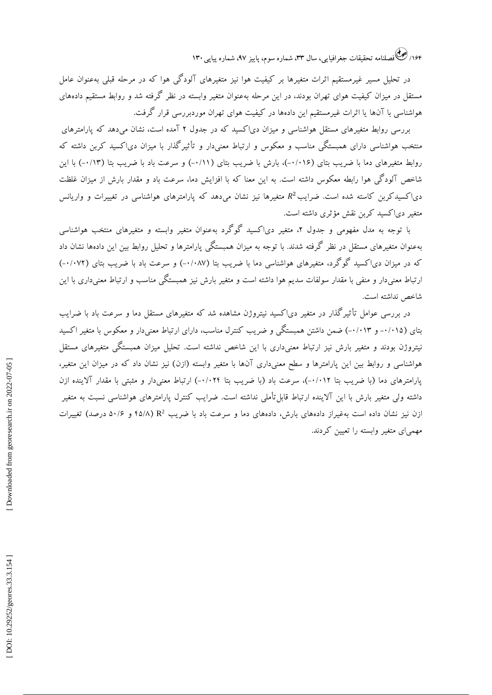۱۶۴/ کشی فصلنامه تحقیقات جغرافیایی، سال ۳۳، شماره سوم، پاییز ۹۷، شماره پیاپی ۱۳۰

در تحلیل مسیر غیرمستقیم اثرات متغیرها بر کیفیت هوا نیز متغیرهای آلودگی هوا که در مرحله قبلی بهعنوان عامل مستقل در میزان کیفیت هوای تهران بودند، در این مرحله بهعنوان متغیر وابسته در نظر گرفته شد و روابط مستقیم دادههای هواشناسی با آنها یا اثرات غیرمستقیم این دادهها در کیفیت هوای تهران موردبررسی قرار کرفت.

بررسی روابط متغیرهای مستقل هواشناسی و میزان دی| کسید که در جدول ۲ آمده است، نشان میدهد که پارامترهای منتخب هواشناسی دارای همبستگی مناسب و معکوس و ارتباط معنیدار و تاثیر کدار با میزان دیا کسید کربن داشته که روابط متغیرهای دما با ضریب بتای (۱۰/۰۱۶)، بارش با ضریب بتای (۰/۱۱-) و سرعت باد با ضریب بتا (۰/۱۳-) با این 2شاخص آلود کی هوا رابطه معکوس داشته است. به این معنا که با افزایش دما، سرعت باد و مقدار بارش از میزان غلظت<br>دی|کسیدکربن کاسته شده است. ضرایب $R^2$  متغیرها نیز نشان میدهد که پارامترهای هواشناسی در تغییرات و واریانس متغیر دی| کسید کربن نقش مؤثری داشته است.

با توجه به مدل مفهومی و جدول ۲، متغیر دی|کسید کو کرد بهعنوان متغیر وابسته و متغیرهای منتخب هواشناسی بهعنوان متغیرهای مستقل در نظر گرفته شدند. با توجه به میزان همبستگی پارامترها و تحلیل روابط بین این دادهها نشان داد که در میزان دی|کسید کو کرد، متغیرهای هواشناسی دما با ضریب بتا (۰/۰۸۷-) و سرعت باد با ضریب بتای (۰/۰۷۲-) ارتباط معنیدار و منفی با مقدار سولفات سدیم هوا داشته است و متغیر بارش نیز همبستکی مناسب و ارتباط معنیداری با این شاخص نداشته است.

در بررسی عوامل تأثیرگذار در متغیر دیاکسید نیتروژن مشاهده شد که متغیرهای مستقل دما و سرعت باد با ضرایب بتای (۰/۰۱۵– و ۰/۰۱۳) ضمن داشتن همبستگی و ضریب کنترل مناسب، دارای ارتباط معنیدار و معکوس با متغیر اکسید نیتروژن بودند و متغیر بارش نیز ارتباط معنیداری با این شاخص نداشته است. تحلیل میزان همبستگی متغیرهای مستقل هواشناسی و روابط بین این پارامترها و سطح معنیداری آنها با متغیر وابسته (ازن) نیز نشان داد که در میزان این متغیر، پارامترهای دما (با ضریب بتا ۰/۰۱۲–)، سرعت باد (با ضریب بتا ۰/۰۲۲-) ارتباط معنیدار و مثبتی با مقدار الاینده ازن داشته ولی متغیر بارش با این الاینده ارتباط قابل تاملی نداشته است. ضرایب کنترل پارامترهای هواشناسی نسبت به متغیر زن نیز نشان داده است بهغیراز دادههای بارش، دادههای دما و سرعت باد با ضریب R<sup>2</sup> (۴۵/۸ و ۵۰/۶ درصد) تغییرات ای متغیر وابسته را تعیین کردند. مهمی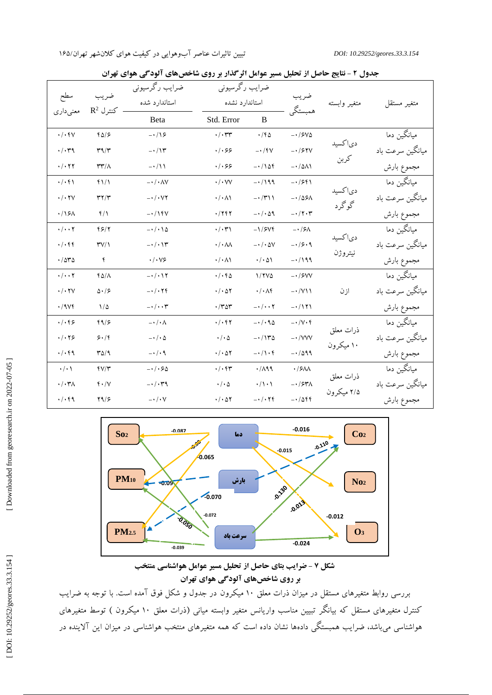| سطح                        |                                   | ضرايب رگرسيوني                           | ضرايب رگرسيوني               |                                    | ضريب<br>همبستگي               |                  |                  |
|----------------------------|-----------------------------------|------------------------------------------|------------------------------|------------------------------------|-------------------------------|------------------|------------------|
| معنىدارى                   | ضريب<br>$R^2$ كنترل $\mathcal{F}$ | استاندارد شده                            |                              | استاندارد نشده                     |                               | متغير وابسته     | متغير مستقل      |
|                            |                                   | Beta                                     | Std. Error                   | B                                  |                               |                  |                  |
| $\cdot/\cdot$ fV           | $f\Delta/\mathcal{F}$             | $-\cdot/15$                              | $\cdot$ / $\cdot$ $\tau\tau$ | $\cdot$ /fa                        | $-1/5V\Delta$                 | دی کسید          | میانگین دما      |
| $\cdot/\cdot$ ۳۹           | $\mathbf{r}^q/\mathbf{r}$         | $- \cdot / \gamma$                       | . /                          | $- \cdot / \sqrt{}$                | $-1$ /۶۲۷                     |                  | میانگین سرعت باد |
| $\cdot$ / $\cdot$ $\tau$   | $\mathsf{r}\mathsf{r}'/\wedge$    | $-\cdot/11$                              | $\cdot/\cdot$ ۶۶             | $-110f$                            | $-1/\Delta\Lambda$            | كربن             | مجموع بارش       |
| $\cdot/\cdot f$            | $f\$ /                            | $- \cdot / \cdot \wedge V$               | $\cdot$ / $\cdot$ VV         | $-1199$                            | $-1551$                       |                  | میانگین دما      |
| $\cdot$ / $\cdot$ ۲۷       | $\mathbf{r} \mathbf{y}$           | $ \cdot$ $/$ $\cdot$ $\vee$ $\vee$       | $\cdot/\cdot \wedge \wedge$  | $- \cdot / \mathcal{M}$            | $-105\lambda$                 | دىاكسيد<br>گوگرد | میانگین سرعت باد |
| .15A                       | $f/\lambda$                       | $-1$ / $\gamma$ f $\gamma$               | $\cdot$ /۲۴۲                 | $-1.49$                            | $- \cdot / \gamma \cdot \tau$ |                  | مجموع بارش       |
| $\cdot/\cdot\cdot$ $\cdot$ | 55/7                              | $-\cdot/\cdot\cdot\Delta$                | $\cdot/\cdot$ ۳۱             | $-1/5Vf$                           | $-1/5\lambda$                 | دىاكسيد          | میانگین دما      |
| . / . 55                   | TV/1                              | $- \cdot / \cdot \wedge \tau$            | $\cdot$ / $\cdot$ AA         | $- \cdot / \cdot \Delta V$         | $-15.9$                       |                  | میانگین سرعت باد |
| .784                       | ۴                                 | $\cdot/\cdot\vee$ ۶                      | $\cdot/\cdot \wedge \wedge$  | $\cdot/\cdot \Delta$               | $-1199$                       | نيتروژن          | مجموع بارش       |
| $\cdot/\cdot\cdot$ $\cdot$ | $f\Delta/\Lambda$                 | $- \cdot / \cdot \cdot \tau$             | $\cdot/\cdot$ fo             | $1/7V\Delta$                       | $-1$ /۶۷۷                     |                  | میانگین دما      |
| $\cdot/\cdot$ ۲۷           | $\Delta \cdot / 5$                | $ \cdot$ / $\cdot$ $\uparrow$ $\uparrow$ | $\cdot/\cdot \Delta Y$       | $\cdot/\cdot\wedge f$              | $-1/\gamma\$                  | ازن              | میانگین سرعت باد |
| $\cdot$ /984               | $1/\Delta$                        | $- \cdot / \cdot \cdot \mathsf{t}$       | $\cdot$ /٣٥٣                 | $- \cdot / \cdot \cdot \mathsf{Y}$ | $-1111$                       |                  | مجموع بارش       |
| . /                        | f9/5                              | $-\cdot/\cdot \wedge$                    | $\cdot/\cdot$ fr             | $-\cdot/ \cdot 90$                 | $-1/V \cdot f$                | ذرات معلق        | میانگین دما      |
| $\cdot/\cdot$ $\gamma$ ۶   | 5.16                              | $-\cdot/\cdot \Delta$                    | $\cdot$ / $\cdot$ $\Delta$   | $-1140$                            | $ \cdot$ / $VVV$              | ۱۰ میکرون        | میانگین سرعت باد |
| . /                        | $T\Delta$                         | $-\cdot/\cdot$ ٩                         | $\cdot/\cdot \Delta Y$       | $-1/\iota f$                       | $-1099$                       |                  | مجموع بارش       |
| $\cdot/\cdot$              | $fV/\tau$                         | $- \cdot / \cdot 50$                     | $\cdot/\cdot$ fr             | .719                               | $\cdot$ /۶۸Λ                  | ذرات معلق        | میانگین دما      |
| $\cdot/\cdot\tau$          | $f \cdot /V$                      | $- \cdot / \cdot \tau$ ۹                 | $\cdot$ / $\cdot$ $\Delta$   | $\cdot/\wedge\cdot\wedge$          | $- \cdot$ /۶۳۸                | ۲/۵ میکرون       | میانگین سرعت باد |
| $\cdot/\cdot$ fq           | Y9/5                              | $-\cdot/\cdot$ Y                         | $\cdot/\cdot \Delta Y$       | $- \cdot / \cdot \nabla f$         | $-1/\Delta f f$               |                  | مجموع بارش       |

**نتایج حاصل از تحلیل مسیر عوامل اثرگذار بر روی شاخصهای آلودگی هوای تهران - جدول 2**



**منتخب عوامل هواشناسی مسیر حاصل از تحلیل بتای ضرایب - شکل 7 تهران هوای آلودگی شاخصهای بر روی**

بررسی روابط متغیرهای مستقل در میزان ذرات معلق 10 میکرون در جدول و شکل فوق آمده است. با توجه به ضرایب کنترل متغیرهای مستقل که بیانگر تبیین مناسب واریانس متغیر وابسته میانی (ذرات معلق ۱۰ میکرون ) توسط متغیرهای هواشناسی میباشد، ضرایب همبستکی دادهها نشان داده است که همه متغیرهای منتخب هواشناسی در میزان این الاینده در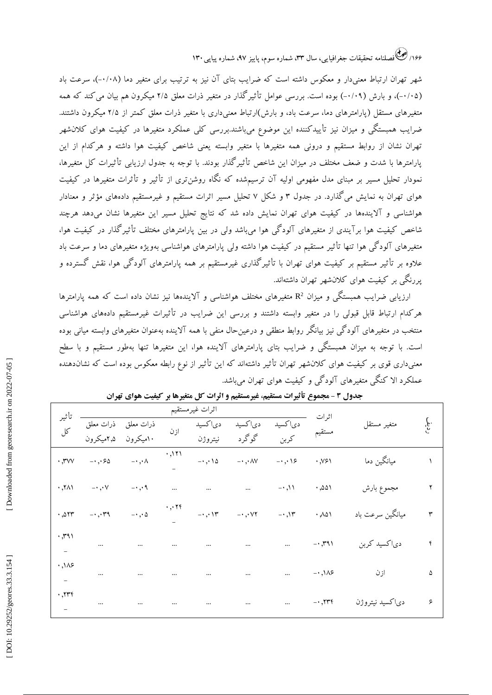۱۶۶/ کِ فَصَلْنَامَهُ تَحقيقات جغرافيايي، سال ۳۳، شماره سوم، پاييز ۹۷، شماره پياپي ۱۳۰

شهر تهران ارتباط معنیدار و معکوس داشته است که ضرایب بتای آن نیز به ترتیب برای متغیر دما (۰/۰۸-)، سرعت باد (۰/۰۵–)، و بارش (۰/۰۹–) بوده است. بررسی عوامل تأثیر کدار در متغیر ذرات معلق ۲/۵ میکرون هم بیان می کند که همه متغیرهای مستقل (پارامترهای دما، سرعت باد، و بارش)ارتباط معنیداری با متغیر ذرات معلق کمتر از ۲/۵ میکرون داشتند. ضرایب همبستگی و میزان نیز تأییدکننده این موضوع میباشند.بررسی کلی عملکرد متغیرها در کیفیت هوای کالنشهر تهران نشان از روابط مستقیم و درونی همه متغیرها با متغیر وابسته یعنی شاخص کیفیت هوا داشته و هرکدام از این پارامترها با شدت و ضعف مختلف در میزان این شاخص تأثیرگذار بودند. با توجه به جدول ارزیابی تأثیرات کل متغیرها، نمودار تحلیل مسیر بر مبنای مدل مفهومی اولیه آن ترسیمشده که نگاه روشنتری از تأثیر و تأثرات متغیرها در کیفیت هوای تهران به نمایش می کذارد. در جدول ۳ و شکل ۷ تحلیل مسیر اثرات مستقیم و غیرمستقیم دادههای مؤثر و معنادار هواشناسی و آالیندهها در کیفیت هوای تهران نمایش داده شد که نتایج تحلیل مسیر این متغیرها نشان میدهد هرچند شاخص کیفیت هوا برآیندی از متغیرهای آلودگی هوا میباشد ولی در بین پارامترهای مختلف تأثیرگذار در کیفیت هوا، متغیرهای آلودگی هوا تنها تأثیر مستقیم در کیفیت هوا داشته ولی پارامترهای هواشناسی بهویژه متغیرهای دما و سرعت باد عالوه بر تأثیر مستقیم بر کیفیت هوای تهران با تأثیرگذاری غیرمستقیم بر همه پارامترهای آلودگی هوا، نقش گسترده و پررنگی بر کیفیت هوای کالنشهر تهران داشتهاند.

ارزیابی ضرایب همبستگی و میزان  ${\sf R}^2$  متغیرهای مختلف هواشناسی و آلایندهها نیز نشان داده است که همه پارامترها هرکدام ارتباط قابل قبولی را در متغیر وابسته داشتند و بررسی این ضرایب در تأثیرات غیرمستقیم دادههای هواشناسی منتخب در متغیرهای آلودگی نیز بیانگر روابط منطقی و درعینحال منفی با همه آالینده بهعنوان متغیرهای وابسته میانی بوده است. با توجه به میزان همبستگی و ضرایب بتای پارامترهای آالینده هوا، این متغیرها تنها بهطور مستقیم و با سطح معنیداری قوی بر کیفیت هوای کالنشهر تهران تأثیر داشتهاند که این تأثیر از نوع رابطه معکوس بوده است که نشاندهنده عملکرد الا کنکی متغیرهای آلود کی و کیفیت هوای تهران میباشد.

| تأثير                    |                                                |                            |          | اثرات غيرمستقيم                  |                            |                                |                         |                  |         |
|--------------------------|------------------------------------------------|----------------------------|----------|----------------------------------|----------------------------|--------------------------------|-------------------------|------------------|---------|
| کا                       | ذرات معلق    ذرات معلق<br>۱۰میکرون   ۲٫۵میکرون |                            | ازن      | دىاكسيد                          | دىاكسيد                    | دىاكسيد                        | اثرات                   | متغير مستقل      | ج.<br>ج |
|                          |                                                |                            |          | نيتروژن                          | گوگرد                      | كربن                           | مستقيم                  |                  |         |
| $\cdot$ , $\mathsf{rvv}$ | $- \cdot$ , $\cdot \infty$                     | $-\cdot$ , $\cdot \wedge$  | ۱۲۱,۰    | $-\cdot$ , $\cdot \wedge \Delta$ | $-\cdot$ , $\wedge$ $\vee$ | $-\cdot$ , $\cdot \cdot \cdot$ | .991                    | میانگین دما      |         |
| , 501                    | $- \cdot \cdot \cdot \vee$                     | $-\cdot$ , $\cdot$ 9.      | $\cdots$ | $\cdots$                         | $\cdots$                   | $-1$ , $\wedge$                | ۱۵۵۱, ۰                 | مجموع بارش       |         |
| .011                     | $-0.79$                                        | $-\cdot$ , $\cdot$ $\circ$ |          |                                  |                            | $-1.15$                        | .401                    | میانگین سرعت باد |         |
| ۰٫۳۹۱                    | $\cdots$                                       | $\cdots$                   | $\cdots$ | $\cdots$                         | $\cdots$                   | $\cdots$                       | $-1.791$                | دياكسيد كربن     |         |
| .145                     | $\cdots$                                       | $\cdots$                   | $\cdots$ | $\cdots$                         | $\cdots$                   | $\cdots$                       | $- \cdot$ ,\ $\wedge$ ۶ | ازن              | ۵       |
| .775                     | $\cdots$                                       | $\cdots$                   | $\cdots$ | $\cdots$                         | $\cdots$                   | $\cdots$                       | $- \cdot 775$           | دىاكسيد نيتروژن  | ۶       |

جدول ۳ - مجموع تأتیرات مستقیم، غیرمستقیم و اترات کل متغیرها بر کیفیت هوای تهران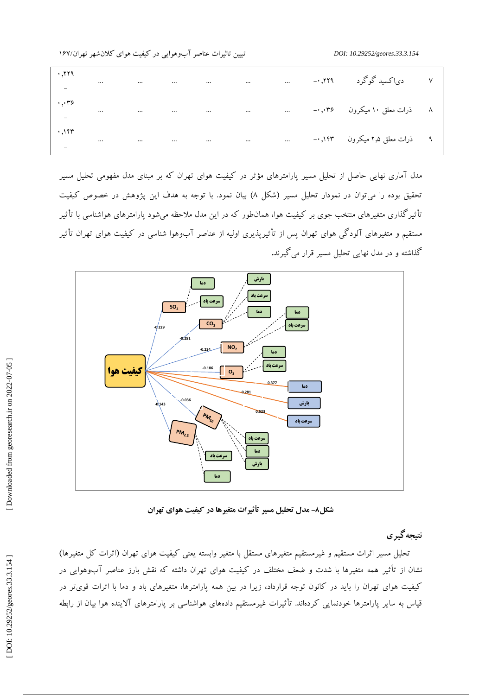| $\cdot$ ,۲۲۹<br>$\mathcal{L}_{\text{max}}$            |  |  |  | ۷ دی کسیدگوگرد ۲۲۹,۰- … … … … … … … … …                                                                  |  |
|-------------------------------------------------------|--|--|--|----------------------------------------------------------------------------------------------------------|--|
| $\cdot$ , $\cdot$ ۳۶<br>$\frac{1}{2}$ , $\frac{1}{2}$ |  |  |  |                                                                                                          |  |
|                                                       |  |  |  |                                                                                                          |  |
|                                                       |  |  |  | مدل آماری نهایی حاصل از تحلیل مسیر پارامترهای مؤثر در کیفیت هوای تهران که بر مبنای مدل مفهومی تحلیل مسیر |  |

نحقیق بوده را می توان در نمودار تحلیل مسیر (شکل ۸) بیان نمود. با توجه به هدف این پژوهش در خصوص کیفیت ناثیر کذاری متغیرهای منتخب جوی بر کیفیت هوا، همانطور که در این مدل ملاحظه میشود پارامترهای هواشناسی با تأثیر مستقیم و متغیرهای آلود کی هوای تهران پس از تأثیرپدیری اولیه از عناصر آبوهوا شناسی در کیفیت هوای تهران تأثیر گیرند**.** قرار می مسیر گذاشته و در مدل نهایی تحلیل



**مدل تحلیل مسیر تأثیرات متغیرها در کیفیت هوای تهران - شکل8**

**نتیجهگیری**

تحلیل مسیر اثرات مستقیم و غیرمستقیم متغیرهای مستقل با متغیر وابسته یعنی کیفیت هوای تهران (اثرات کل متغیرها) نشان از تأثیر همه متغیرها با شدت و ضعف مختلف در کیفیت هوای تهران داشته که نقش بارز عناصر آبوهوایی در کیفیت هوای تهران را باید در کانون توجه قرارداد، زیرا در بین همه پارامترها، متغیرهای باد و دما با اثرات قویتر در قیاس به سایر پارامترها خودنمایی کردهاند. تأثیرات غیرمستقیم دادههای هواشناسی بر پارامترهای آالینده هوا بیان از رابطه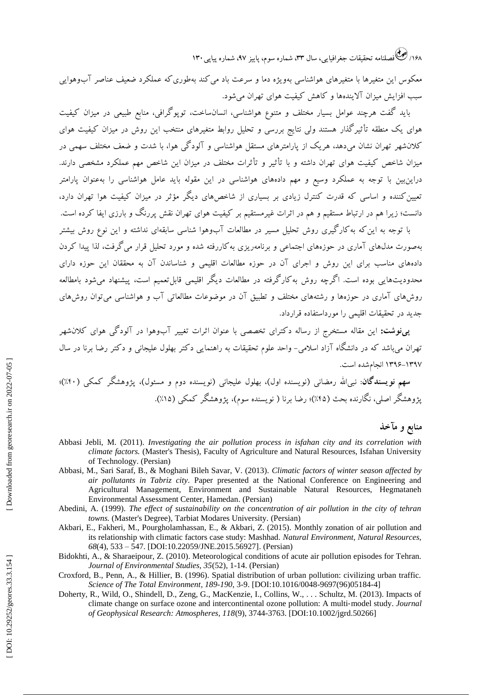۱۶۸/ کِ فَصَلْنَامَهُ تَحقيقات جغرافيايي، سال ۳۳، شماره سوم، پاييز ۹۷، شماره پياپي ۱۳۰

معکوس این متغیرها با متغیرهای هواشناسی بهویژه دما و سرعت باد می کند بهطوری که عملکرد ضعیف عناصر ًابوهوایی سبب افزایش میزان آالیندهها و کاهش کیفیت هوای تهران میشود.

باید گفت هرچند عوامل بسیار مختلف و متنوع هواشناسی، انسانساخت، توپوگرافی، منابع طبیعی در میزان کیفیت هوای یک منطقه تأثیرگذار هستند ولی نتایج بررسی و تحلیل روابط متغیرهای منتخب این روش در میزان کیفیت هوای کالنشهر تهران نشان میدهد، هریک از پارامترهای مستقل هواشناسی و آلودگی هوا، با شدت و ضعف مختلف سهمی در میزان شاخص کیفیت هوای تهران داشته و با تأثیر و تأثرات مختلف در میزان این شاخص مهم عملکرد مشخصی دارند. دراینبین با توجه به عملکرد وسیع و مهم دادههای هواشناسی در این مقوله باید عامل هواشناسی را بهعنوان پارامتر تعیینکننده و اساسی که قدرت کنترل زیادی بر بسیاری از شاخصهای دیگر مؤثر در میزان کیفیت هوا تهران دارد، دانست؛ زیرا هم در ارتباط مستقیم و هم در اثرات غیرمستقیم بر کیفیت هوای تهران نقش پررنگ و بارزی ایفا کرده است.

با توجه به این که به کار کیری روش تحلیل مسیر در مطالعات آبوهوا شناسی سابقهای نداشته و این نوع روش بیشتر بهصورت مدلهای آماری در حوزههای اجتماعی و برنامهریزی بهکاررفته شده و مورد تحلیل قرار میگرفت، لذا پیدا کردن دادههای مناسب برای این روش و اجرای آن در حوزه مطالعات اقلیمی و شناساندن آن به محققان این حوزه دارای محدودیتهایی بوده است. اگرچه روش به کار کرفته در مطالعات دیکر اقلیمی قابلتعمیم است، پیشنهاد میشود بامطالعه روشهای آماری در حوزهها و رشتههای مختلف و تطبیق آن در موضوعات مطالعاتی آب و هواشناسی میتوان روشهای جدید در تحقیقات اقلیمی را مورداستفاده قرارداد.

**پینوشت:** این مقاله مستخرج از رساله دکترای تخصصی با عنوان اثرات تغییر آبوهوا در آلودگی هوای کالنشهر باشد که در دانشکاه آزاد اسلامی- واحد علوم تحقیقات به راهنمایی د کتر بهلول علیجانی و د کتر رضا برنا در سال <sup>1396</sup>-<sup>1397</sup> انجامشده است. تهران می

لله رمضانی (نویسنده اول)، بهلول علیجانی (نویسنده دوم و مسئول)، پژوهشگر کمکی (۴۰٪)؛ پژوهشگر اصلی، نگارنده بحث (۴۵٪)؛ رضا برنا ( نویسنده سوم)، پژوهشگر کمکی (۱۵٪).

# **منابع و مآخذ**

- Abbasi Jebli, M. (2011). *Investigating the air pollution process in isfahan city and its correlation with climate factors.* (Master's Thesis), Faculty of Agriculture and Natural Resources, Isfahan University of Technology. (Persian)
- Abbasi, M., Sari Saraf, B., & Moghani Bileh Savar, V. (2013). *Climatic factors of winter season affected by air pollutants in Tabriz city*. Paper presented at the National Conference on Engineering and Agricultural Management, Environment and Sustainable Natural Resources, Hegmataneh Environmental Assessment Center, Hamedan. (Persian)
- Abedini, A. (1999). *The effect of sustainability on the concentration of air pollution in the city of tehran towns.* (Master's Degree), Tarbiat Modares University. (Persian)
- Akbari, E., Fakheri, M., Pourgholamhassan, E., & Akbari, Z. (2015). Monthly zonation of air pollution and its relationship with climatic factors case study: Mashhad. *Natural Environment, Natural Resources, 68*(4), 533 – 547. [DOI:10.22059/JNE.2015.56927] . (Persian )
- Bidokhti, A., & Sharaeipour, Z. (2010). Meteorological conditions of acute air pollution episodes for Tehran. *Journal of Environmental Studies, 35*(52), 1 -14. (Persian)
- Croxford, B., Penn, A., & Hillier, B. (1996). Spatial distribution of urban pollution: civilizing urban traffic. Science of The Total Environment, 189-190, 3-9. [DOI:10.1016/0048-9697(96)05184-4]
- Doherty, R., Wild, O., Shindell, D., Zeng, G., MacKenzie, I., Collins, W., . . . Schultz, M. (2013). Impacts of climate change on surface ozone and intercontinental ozone pollution: A multi ‐model study. *Journal of Geophysical Research: Atmospheres, 118*(9), 3744 -3763. [DOI:10.1002/jgrd.50266]